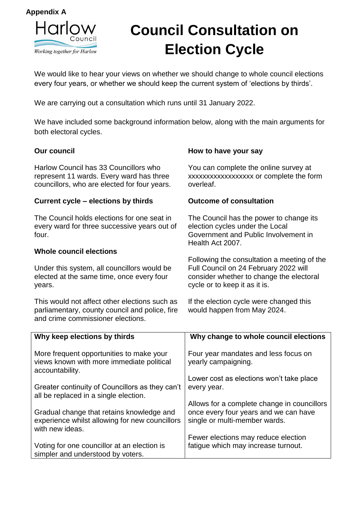

# **Council Consultation on Election Cycle**

We would like to hear your views on whether we should change to whole council elections every four years, or whether we should keep the current system of 'elections by thirds'.

We are carrying out a consultation which runs until 31 January 2022.

We have included some background information below, along with the main arguments for both electoral cycles.

### **Our council**

Harlow Council has 33 Councillors who represent 11 wards. Every ward has three councillors, who are elected for four years.

#### **Current cycle – elections by thirds**

The Council holds elections for one seat in every ward for three successive years out of four.

#### **Whole council elections**

Under this system, all councillors would be elected at the same time, once every four years.

This would not affect other elections such as parliamentary, county council and police, fire and crime commissioner elections.

#### **How to have your say**

You can complete the online survey at xxxxxxxxxxxxxxxxxx or complete the form overleaf.

#### **Outcome of consultation**

The Council has the power to change its election cycles under the Local Government and Public Involvement in Health Act 2007.

Following the consultation a meeting of the Full Council on 24 February 2022 will consider whether to change the electoral cycle or to keep it as it is.

If the election cycle were changed this would happen from May 2024.

| Why keep elections by thirds                                                                                   | Why change to whole council elections                                  |
|----------------------------------------------------------------------------------------------------------------|------------------------------------------------------------------------|
| More frequent opportunities to make your<br>views known with more immediate political<br>accountability.       | Four year mandates and less focus on<br>yearly campaigning.            |
|                                                                                                                | Lower cost as elections won't take place                               |
| Greater continuity of Councillors as they can't<br>all be replaced in a single election.                       | every year.                                                            |
|                                                                                                                | Allows for a complete change in councillors                            |
| Gradual change that retains knowledge and<br>experience whilst allowing for new councillors<br>with new ideas. | once every four years and we can have<br>single or multi-member wards. |
|                                                                                                                | Fewer elections may reduce election                                    |
| Voting for one councillor at an election is<br>simpler and understood by voters.                               | fatique which may increase turnout.                                    |